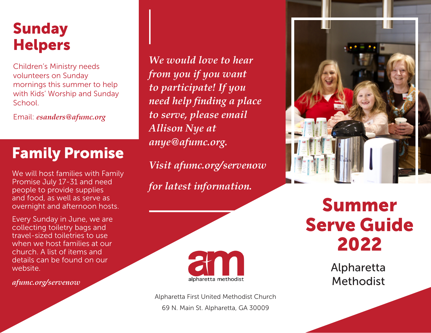## Sunday Helpers

Children's Ministry needs volunteers on Sunday mornings this summer to help with Kids' Worship and Sunday School.

Email: *esanders@afumc.org*

# Family Promise

We will host families with Family Promise July 17-31 and need people to provide supplies and food, as well as serve as overnight and afternoon hosts.

Every Sunday in June, we are collecting toiletry bags and travel-sized toiletries to use when we host families at our church. A list of items and details can be found on our website.

*afumc.org/servenow*

*We would love to hear from you if you want to participate! If you need help finding a place to serve, please email Allison Nye at anye@afumc.org.*

*Visit afumc.org/servenow for latest information.*



Alpharetta First United Methodist Church 69 N. Main St. Alpharetta, GA 30009



# Summer Serve Guide 2022

Alpharetta Methodist